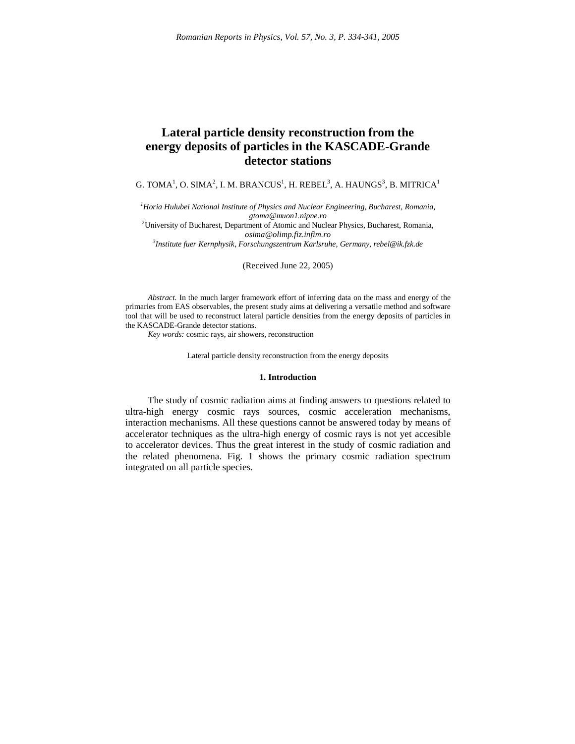# **Lateral particle density reconstruction from the energy deposits of particles in the KASCADE-Grande detector stations**

G. TOMA $^1$ , O. SIMA $^2$ , I. M. BRANCUS $^1$ , H. REBEL $^3$ , A. HAUNGS $^3$ , B. MITRICA $^1$ 

*<sup>1</sup>Horia Hulubei National Institute of Physics and Nuclear Engineering, Bucharest, Romania, gtoma@muon1.nipne.ro*

<sup>2</sup>University of Bucharest, Department of Atomic and Nuclear Physics, Bucharest, Romania, *osima@olimp.fiz.infim.ro*

*3 Institute fuer Kernphysik, Forschungszentrum Karlsruhe, Germany, rebel@ik.fzk.de*

(Received June 22, 2005)

*Abstract.* In the much larger framework effort of inferring data on the mass and energy of the primaries from EAS observables, the present study aims at delivering a versatile method and software tool that will be used to reconstruct lateral particle densities from the energy deposits of particles in the KASCADE-Grande detector stations.

*Key words:* cosmic rays, air showers, reconstruction

Lateral particle density reconstruction from the energy deposits

## **1. Introduction**

The study of cosmic radiation aims at finding answers to questions related to ultra-high energy cosmic rays sources, cosmic acceleration mechanisms, interaction mechanisms. All these questions cannot be answered today by means of accelerator techniques as the ultra-high energy of cosmic rays is not yet accesible to accelerator devices. Thus the great interest in the study of cosmic radiation and the related phenomena. Fig. 1 shows the primary cosmic radiation spectrum integrated on all particle species.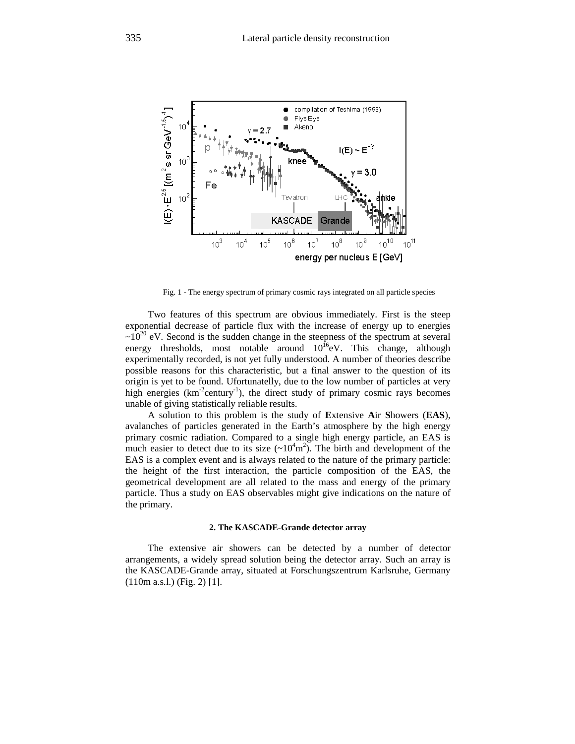

Fig. 1 - The energy spectrum of primary cosmic rays integrated on all particle species

Two features of this spectrum are obvious immediately. First is the steep exponential decrease of particle flux with the increase of energy up to energies  $\sim 10^{20}$  eV. Second is the sudden change in the steepness of the spectrum at several energy thresholds, most notable around  $10^{16}$ eV. This change, although experimentally recorded, is not yet fully understood. A number of theories describe possible reasons for this characteristic, but a final answer to the question of its origin is yet to be found. Ufortunatelly, due to the low number of particles at very high energies  $(km^2century^{-1})$ , the direct study of primary cosmic rays becomes unable of giving statistically reliable results.

A solution to this problem is the study of **E**xtensive **A**ir **S**howers (**EAS**), avalanches of particles generated in the Earth's atmosphere by the high energy primary cosmic radiation. Compared to a single high energy particle, an EAS is much easier to detect due to its size  $({\sim}10^4 \text{m}^2)$ . The birth and development of the EAS is a complex event and is always related to the nature of the primary particle: the height of the first interaction, the particle composition of the EAS, the geometrical development are all related to the mass and energy of the primary particle. Thus a study on EAS observables might give indications on the nature of the primary.

### **2. The KASCADE-Grande detector array**

The extensive air showers can be detected by a number of detector arrangements, a widely spread solution being the detector array. Such an array is the KASCADE-Grande array, situated at Forschungszentrum Karlsruhe, Germany (110m a.s.l.) (Fig. 2) [1].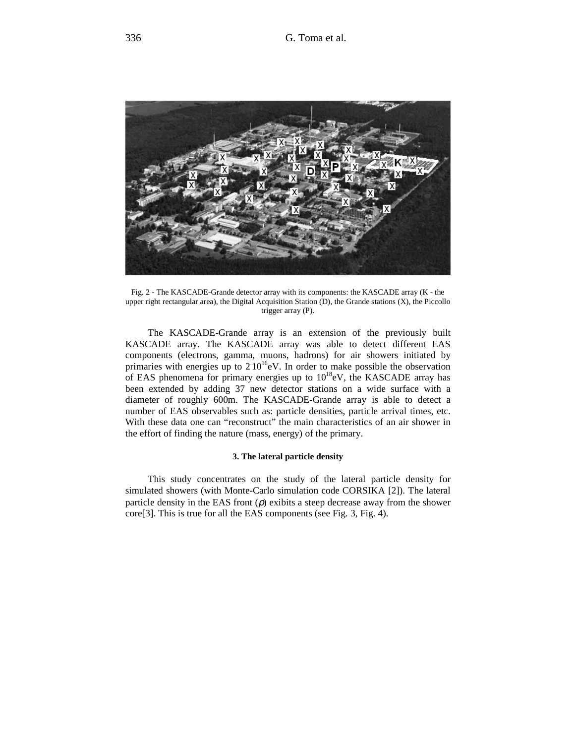

Fig. 2 - The KASCADE-Grande detector array with its components: the KASCADE array (K - the upper right rectangular area), the Digital Acquisition Station (D), the Grande stations (X), the Piccollo trigger array (P).

The KASCADE-Grande array is an extension of the previously built KASCADE array. The KASCADE array was able to detect different EAS components (electrons, gamma, muons, hadrons) for air showers initiated by primaries with energies up to  $210^{16}$ eV. In order to make possible the observation of EAS phenomena for primary energies up to  $10^{18}$ eV, the KASCADE array has been extended by adding 37 new detector stations on a wide surface with a diameter of roughly 600m. The KASCADE-Grande array is able to detect a number of EAS observables such as: particle densities, particle arrival times, etc. With these data one can "reconstruct" the main characteristics of an air shower in the effort of finding the nature (mass, energy) of the primary.

## **3. The lateral particle density**

This study concentrates on the study of the lateral particle density for simulated showers (with Monte-Carlo simulation code CORSIKA [2]). The lateral particle density in the EAS front  $(\rho)$  exibits a steep decrease away from the shower core[3]. This is true for all the EAS components (see Fig. 3, Fig. 4).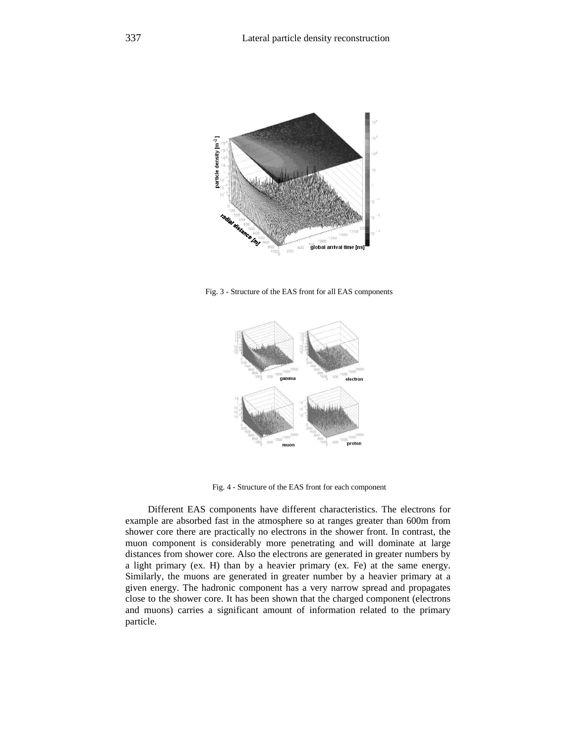

Fig. 3 - Structure of the EAS front for all EAS components



Fig. 4 - Structure of the EAS front for each component

Different EAS components have different characteristics. The electrons for example are absorbed fast in the atmosphere so at ranges greater than 600m from shower core there are practically no electrons in the shower front. In contrast, the muon component is considerably more penetrating and will dominate at large distances from shower core. Also the electrons are generated in greater numbers by a light primary (ex. H) than by a heavier primary (ex. Fe) at the same energy. Similarly, the muons are generated in greater number by a heavier primary at a given energy. The hadronic component has a very narrow spread and propagates close to the shower core. It has been shown that the charged component (electrons and muons) carries a significant amount of information related to the primary particle.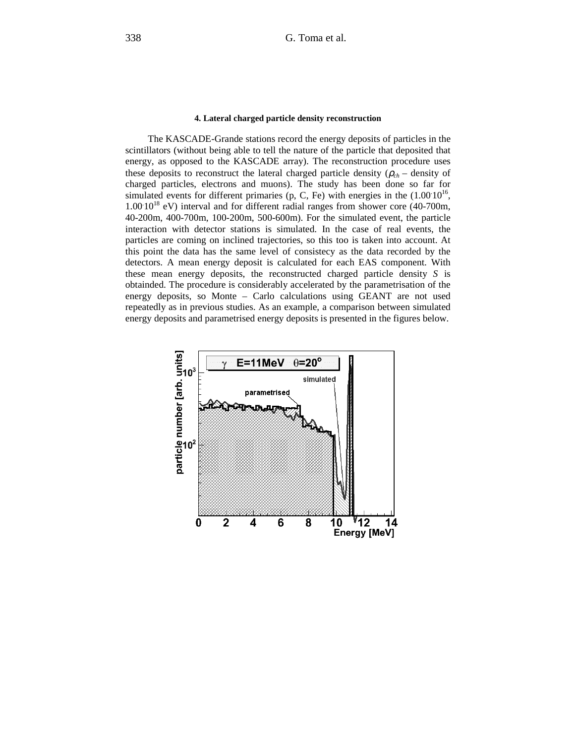#### **4. Lateral charged particle density reconstruction**

The KASCADE-Grande stations record the energy deposits of particles in the scintillators (without being able to tell the nature of the particle that deposited that energy, as opposed to the KASCADE array). The reconstruction procedure uses these deposits to reconstruct the lateral charged particle density ( $\rho_{ch}$  – density of charged particles, electrons and muons). The study has been done so far for simulated events for different primaries (p, C, Fe) with energies in the  $(1.0010^{16},$  $1.00\,10^{18}$  eV) interval and for different radial ranges from shower core (40-700m, 40-200m, 400-700m, 100-200m, 500-600m). For the simulated event, the particle interaction with detector stations is simulated. In the case of real events, the particles are coming on inclined trajectories, so this too is taken into account. At this point the data has the same level of consistecy as the data recorded by the detectors. A mean energy deposit is calculated for each EAS component. With these mean energy deposits, the reconstructed charged particle density *S* is obtainded. The procedure is considerably accelerated by the parametrisation of the energy deposits, so Monte – Carlo calculations using GEANT are not used repeatedly as in previous studies. As an example, a comparison between simulated energy deposits and parametrised energy deposits is presented in the figures below.

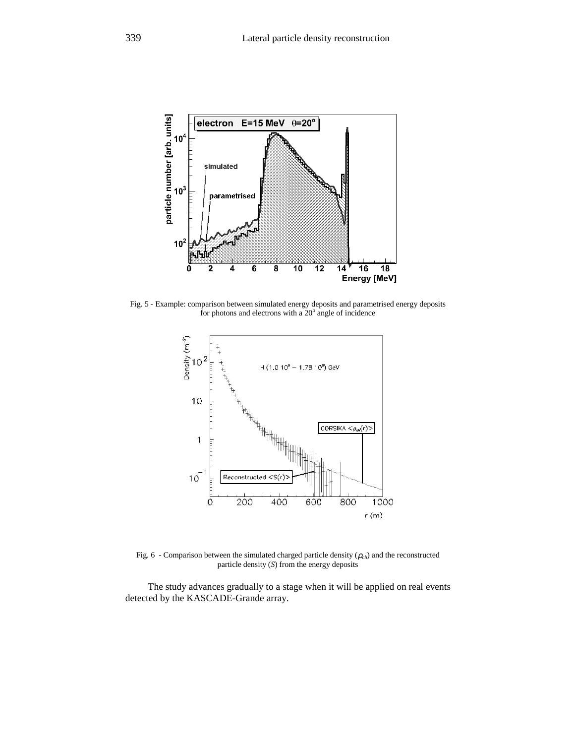

Fig. 5 - Example: comparison between simulated energy deposits and parametrised energy deposits for photons and electrons with a  $20^{\circ}$  angle of incidence



Fig. 6 - Comparison between the simulated charged particle density  $(\rho_{ch})$  and the reconstructed particle density (*S*) from the energy deposits

The study advances gradually to a stage when it will be applied on real events detected by the KASCADE-Grande array.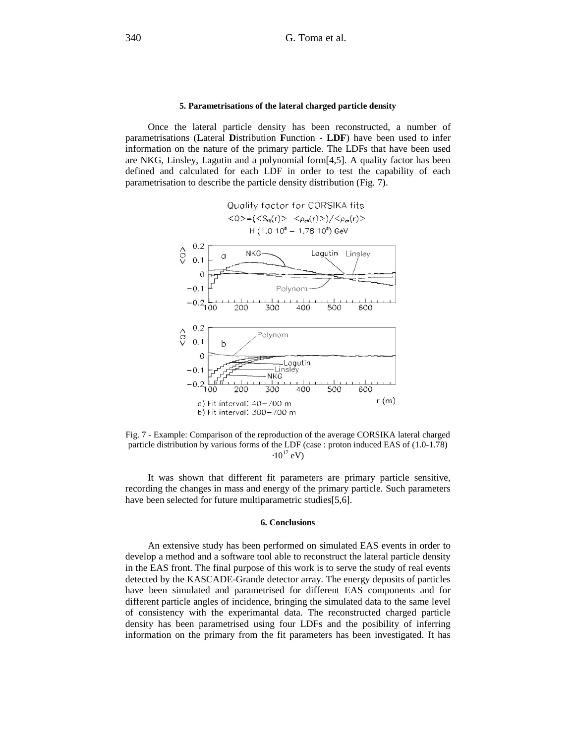#### **5. Parametrisations of the lateral charged particle density**

Once the lateral particle density has been reconstructed, a number of parametrisations (**L**ateral **D**istribution **F**unction - **LDF**) have been used to infer information on the nature of the primary particle. The LDFs that have been used are NKG, Linsley, Lagutin and a polynomial form[4,5]. A quality factor has been defined and calculated for each LDF in order to test the capability of each parametrisation to describe the particle density distribution (Fig. 7).



Fig. 7 - Example: Comparison of the reproduction of the average CORSIKA lateral charged particle distribution by various forms of the LDF (case : proton induced EAS of (1.0-1.78)  $\cdot 10^{17}$  eV)

It was shown that different fit parameters are primary particle sensitive, recording the changes in mass and energy of the primary particle. Such parameters have been selected for future multiparametric studies[5,6].

#### **6. Conclusions**

An extensive study has been performed on simulated EAS events in order to develop a method and a software tool able to reconstruct the lateral particle density in the EAS front. The final purpose of this work is to serve the study of real events detected by the KASCADE-Grande detector array. The energy deposits of particles have been simulated and parametrised for different EAS components and for different particle angles of incidence, bringing the simulated data to the same level of consistency with the experimantal data. The reconstructed charged particle density has been parametrised using four LDFs and the posibility of inferring information on the primary from the fit parameters has been investigated. It has